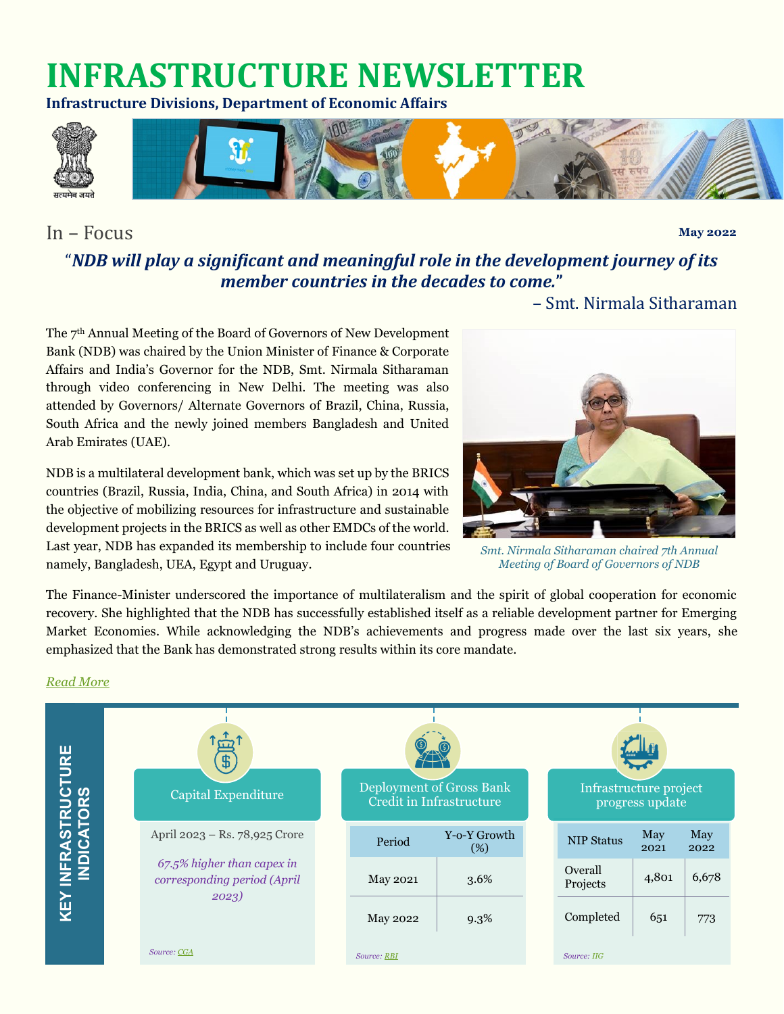# **INFRASTRUCTURE NEWSLETTER**

**Infrastructure Divisions, Department of Economic Affairs**



# In – Focus

**May 2022**

# "*NDB will play a significant and meaningful role in the development journey of its member countries in the decades to come.***"**

– Smt. Nirmala Sitharaman

The 7 th Annual Meeting of the Board of Governors of New Development Bank (NDB) was chaired by the Union Minister of Finance & Corporate Affairs and India's Governor for the NDB, Smt. Nirmala Sitharaman through video conferencing in New Delhi. The meeting was also attended by Governors/ Alternate Governors of Brazil, China, Russia, South Africa and the newly joined members Bangladesh and United Arab Emirates (UAE).

NDB is a multilateral development bank, which was set up by the BRICS countries (Brazil, Russia, India, China, and South Africa) in 2014 with the objective of mobilizing resources for infrastructure and sustainable development projects in the BRICS as well as other EMDCs of the world. Last year, NDB has expanded its membership to include four countries namely, Bangladesh, UEA, Egypt and Uruguay.



*Smt. Nirmala Sitharaman chaired 7th Annual Meeting of Board of Governors of NDB*

The Finance-Minister underscored the importance of multilateralism and the spirit of global cooperation for economic recovery. She highlighted that the NDB has successfully established itself as a reliable development partner for Emerging Market Economies. While acknowledging the NDB's achievements and progress made over the last six years, she emphasized that the Bank has demonstrated strong results within its core mandate.

#### *[Read More](https://pib.gov.in/PressReleaseIframePage.aspx?PRID=1826746)*

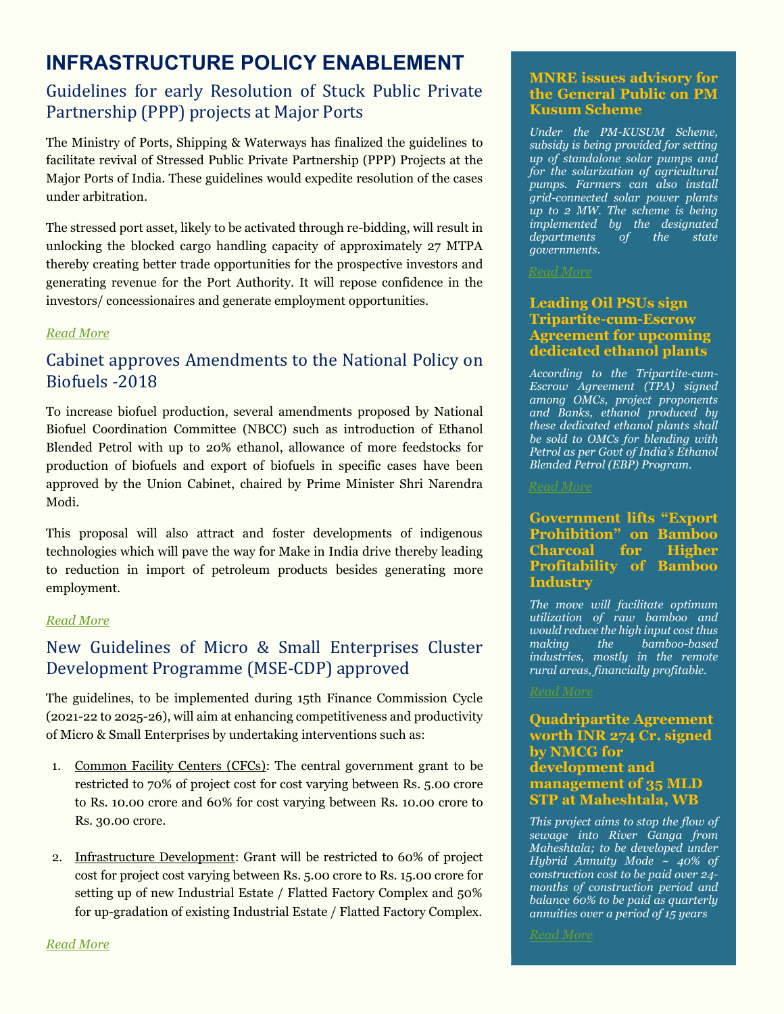# **INFRASTRUCTURE POLICY ENABLEMENT**

# Guidelines for early Resolution of Stuck Public Private Partnership (PPP) projects at Major Ports

The Ministry of Ports, Shipping & Waterways has finalized the guidelines to facilitate revival of Stressed Public Private Partnership (PPP) Projects at the Major Ports of India. These guidelines would expedite resolution of the cases under arbitration.

The stressed port asset, likely to be activated through re-bidding, will result in unlocking the blocked cargo handling capacity of approximately 27 MTPA thereby creating better trade opportunities for the prospective investors and generating revenue for the Port Authority. It will repose confidence in the investors/ concessionaires and generate employment opportunities.

# *[Read More](https://pib.gov.in/PressReleasePage.aspx?PRID=1824427)*

# Cabinet approves Amendments to the National Policy on Biofuels -2018

To increase biofuel production, several amendments proposed by National Biofuel Coordination Committee (NBCC) such as introduction of Ethanol Blended Petrol with up to 20% ethanol, allowance of more feedstocks for production of biofuels and export of biofuels in specific cases have been approved by the Union Cabinet, chaired by Prime Minister Shri Narendra Modi.

This proposal will also attract and foster developments of indigenous technologies which will pave the way for Make in India drive thereby leading to reduction in import of petroleum products besides generating more employment.

#### *[Read More](https://pib.gov.in/PressReleasePage.aspx?PRID=1826266)*

# New Guidelines of Micro & Small Enterprises Cluster Development Programme (MSE-CDP) approved

The guidelines, to be implemented during 15th Finance Commission Cycle (2021-22 to 2025-26), will aim at enhancing competitiveness and productivity of Micro & Small Enterprises by undertaking interventions such as:

- 1. Common Facility Centers (CFCs): The central government grant to be restricted to 70% of project cost for cost varying between Rs. 5.00 crore to Rs. 10.00 crore and 60% for cost varying between Rs. 10.00 crore to Rs. 30.00 crore.
- 2. Infrastructure Development: Grant will be restricted to 60% of project cost for project cost varying between Rs. 5.00 crore to Rs. 15.00 crore for setting up of new Industrial Estate / Flatted Factory Complex and 50% for up-gradation of existing Industrial Estate / Flatted Factory Complex.

# **MNRE issues advisory for the General Public on PM Kusum Scheme**

*Under the PM-KUSUM Scheme, subsidy is being provided for setting up of standalone solar pumps and for the solarization of agricultural pumps. Farmers can also install grid-connected solar power plants up to 2 MW. The scheme is being implemented by the designated departments of the state governments.*

### **Leading Oil PSUs sign Tripartite-cum-Escrow Agreement for upcoming dedicated ethanol plants**

*According to the Tripartite-cum-Escrow Agreement (TPA) signed among OMCs, project proponents and Banks, ethanol produced by these dedicated ethanol plants shall be sold to OMCs for blending with Petrol as per Govt of India's Ethanol Blended Petrol (EBP) Program.*

# **Government lifts "Export Prohibition" on Bamboo Charcoal for Higher Profitability of Bamboo Industry**

*The move will facilitate optimum utilization of raw bamboo and would reduce the high input cost thus making the bamboo-based industries, mostly in the remote rural areas, financially profitable.*

## **Quadripartite Agreement worth INR 274 Cr. signed by NMCG for development and management of 35 MLD STP at Maheshtala, WB**

*This project aims to stop the flow of sewage into River Ganga from Maheshtala; to be developed under Hybrid Annuity Mode ~ 40% of construction cost to be paid over 24 months of construction period and balance 60% to be paid as quarterly annuities over a period of 15 years*

*[Read More](https://pib.gov.in/PressReleasePage.aspx?PRID=1828284)*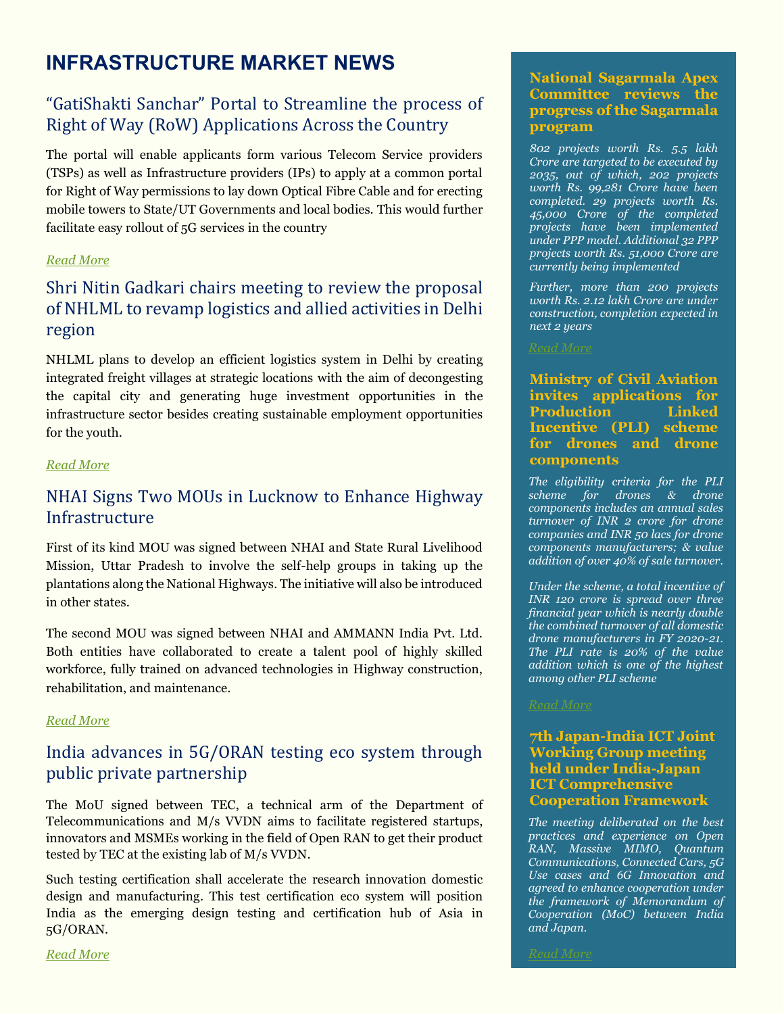# **INFRASTRUCTURE MARKET NEWS**

# "GatiShakti Sanchar" Portal to Streamline the process of Right of Way (RoW) Applications Across the Country

The portal will enable applicants form various Telecom Service providers (TSPs) as well as Infrastructure providers (IPs) to apply at a common portal for Right of Way permissions to lay down Optical Fibre Cable and for erecting mobile towers to State/UT Governments and local bodies. This would further facilitate easy rollout of 5G services in the country

# *[Read More](https://pib.gov.in/PressReleasePage.aspx?PRID=1825332)*

# Shri Nitin Gadkari chairs meeting to review the proposal of NHLML to revamp logistics and allied activities in Delhi region

NHLML plans to develop an efficient logistics system in Delhi by creating integrated freight villages at strategic locations with the aim of decongesting the capital city and generating huge investment opportunities in the infrastructure sector besides creating sustainable employment opportunities for the youth.

#### *[Read More](https://pib.gov.in/PressReleasePage.aspx?PRID=1822755)*

# NHAI Signs Two MOUs in Lucknow to Enhance Highway **Infrastructure**

First of its kind MOU was signed between NHAI and State Rural Livelihood Mission, Uttar Pradesh to involve the self-help groups in taking up the plantations along the National Highways. The initiative will also be introduced in other states.

The second MOU was signed between NHAI and AMMANN India Pvt. Ltd. Both entities have collaborated to create a talent pool of highly skilled workforce, fully trained on advanced technologies in Highway construction, rehabilitation, and maintenance.

#### *[Read More](https://pib.gov.in/PressReleasePage.aspx?PRID=1823282)*

# India advances in 5G/ORAN testing eco system through public private partnership

The MoU signed between TEC, a technical arm of the Department of Telecommunications and M/s VVDN aims to facilitate registered startups, innovators and MSMEs working in the field of Open RAN to get their product tested by TEC at the existing lab of M/s VVDN.

Such testing certification shall accelerate the research innovation domestic design and manufacturing. This test certification eco system will position India as the emerging design testing and certification hub of Asia in 5G/ORAN.

### **National Sagarmala Apex Committee reviews the progress of the Sagarmala program**

*802 projects worth Rs. 5.5 lakh Crore are targeted to be executed by 2035, out of which, 202 projects worth Rs. 99,281 Crore have been completed. 29 projects worth Rs. 45,000 Crore of the completed projects have been implemented under PPP model. Additional 32 PPP projects worth Rs. 51,000 Crore are currently being implemented*

*Further, more than 200 projects worth Rs. 2.12 lakh Crore are under construction, completion expected in next 2 years*

#### **Ministry of Civil Aviation invites applications for Production Linked Incentive (PLI) scheme for drones and drone components**

*The eligibility criteria for the PLI scheme for drones & drone components includes an annual sales turnover of INR 2 crore for drone companies and INR 50 lacs for drone components manufacturers; & value addition of over 40% of sale turnover.*

*Under the scheme, a total incentive of INR 120 crore is spread over three financial year which is nearly double the combined turnover of all domestic drone manufacturers in FY 2020-21. The PLI rate is 20% of the value addition which is one of the highest among other PLI scheme*

### **7th Japan-India ICT Joint Working Group meeting held under India-Japan ICT Comprehensive Cooperation Framework**

*The meeting deliberated on the best practices and experience on Open RAN, Massive MIMO, Quantum Communications, Connected Cars, 5G Use cases and 6G Innovation and agreed to enhance cooperation under the framework of Memorandum of Cooperation (MoC) between India and Japan.*

*[Read More](https://pib.gov.in/PressReleasePage.aspx?PRID=1824200)*